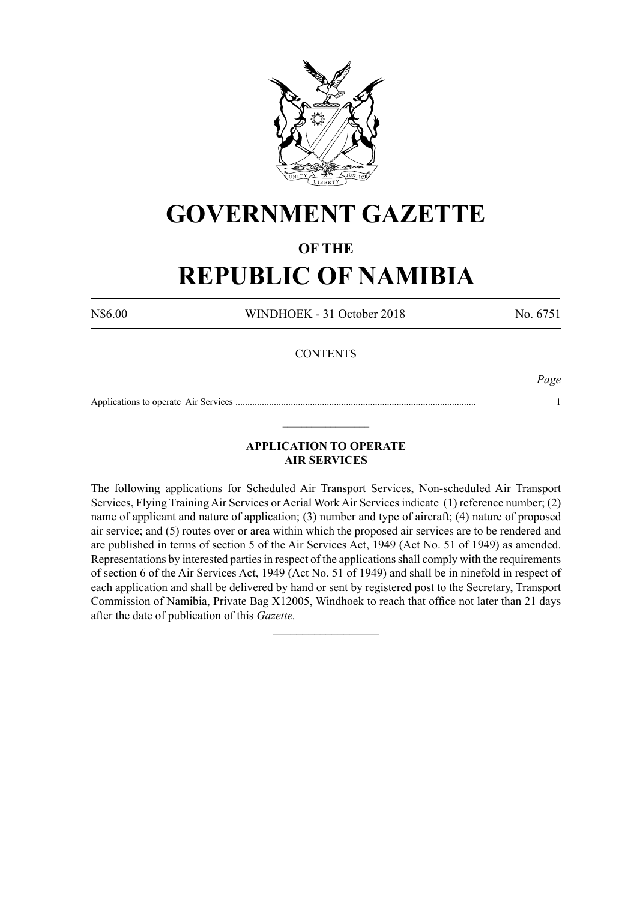

# **GOVERNMENT GAZETTE**

# **OF THE**

# **REPUBLIC OF NAMIBIA**

N\$6.00 WINDHOEK - 31 October 2018 No. 6751

## **CONTENTS**

*Page*

Applications to operate Air Services .................................................................................................... 1  $\_$ 

# **APPLICATION TO OPERATE AIR SERVICES**

The following applications for Scheduled Air Transport Services, Non-scheduled Air Transport Services, Flying Training Air Services or Aerial Work Air Services indicate (1) reference number; (2) name of applicant and nature of application; (3) number and type of aircraft; (4) nature of proposed air service; and (5) routes over or area within which the proposed air services are to be rendered and are published in terms of section 5 of the Air Services Act, 1949 (Act No. 51 of 1949) as amended. Representations by interested parties in respect of the applications shall comply with the requirements of section 6 of the Air Services Act, 1949 (Act No. 51 of 1949) and shall be in ninefold in respect of each application and shall be delivered by hand or sent by registered post to the Secretary, Transport Commission of Namibia, Private Bag X12005, Windhoek to reach that office not later than 21 days after the date of publication of this *Gazette.*

 $\frac{1}{2}$  ,  $\frac{1}{2}$  ,  $\frac{1}{2}$  ,  $\frac{1}{2}$  ,  $\frac{1}{2}$  ,  $\frac{1}{2}$  ,  $\frac{1}{2}$  ,  $\frac{1}{2}$  ,  $\frac{1}{2}$  ,  $\frac{1}{2}$  ,  $\frac{1}{2}$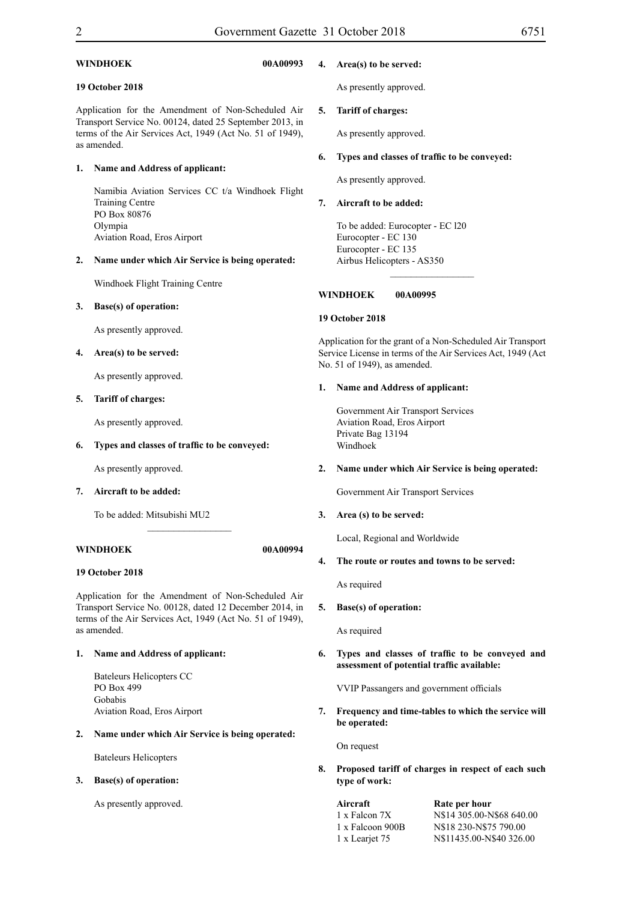#### **WINDHOEK 00A00993**

#### **19 October 2018**

Application for the Amendment of Non-Scheduled Air Transport Service No. 00124, dated 25 September 2013, in terms of the Air Services Act, 1949 (Act No. 51 of 1949), as amended.

#### **1. Name and Address of applicant:**

Namibia Aviation Services CC t/a Windhoek Flight Training Centre PO Box 80876 Olympia Aviation Road, Eros Airport

#### **2. Name under which Air Service is being operated:**

Windhoek Flight Training Centre

#### **3. Base(s) of operation:**

As presently approved.

#### **4. Area(s) to be served:**

As presently approved.

#### **5. Tariff of charges:**

As presently approved.

#### **6. Types and classes of traffic to be conveyed:**

As presently approved.

**7. Aircraft to be added:**

To be added: Mitsubishi MU2

#### **WINDHOEK 00A00994**

#### **19 October 2018**

Application for the Amendment of Non-Scheduled Air Transport Service No. 00128, dated 12 December 2014, in terms of the Air Services Act, 1949 (Act No. 51 of 1949), as amended.

 $\overline{\phantom{a}}$  , where  $\overline{\phantom{a}}$ 

#### **1. Name and Address of applicant:**

Bateleurs Helicopters CC PO Box 499 Gobabis Aviation Road, Eros Airport

#### **2. Name under which Air Service is being operated:**

Bateleurs Helicopters

#### **3. Base(s) of operation:**

As presently approved.

#### **4. Area(s) to be served:**

As presently approved.

#### **5. Tariff of charges:**

As presently approved.

#### **6. Types and classes of traffic to be conveyed:**

As presently approved.

#### **7. Aircraft to be added:**

To be added: Eurocopter - EC l20 Eurocopter - EC 130 Eurocopter - EC 135 Airbus Helicopters - AS350

#### **WINDHOEK 00A00995**

#### **19 October 2018**

Application for the grant of a Non-Scheduled Air Transport Service License in terms of the Air Services Act, 1949 (Act No. 51 of 1949), as amended.

 $\frac{1}{2}$ 

#### **1. Name and Address of applicant:**

Government Air Transport Services Aviation Road, Eros Airport Private Bag 13194 Windhoek

#### **2. Name under which Air Service is being operated:**

Government Air Transport Services

#### **3. Area (s) to be served:**

Local, Regional and Worldwide

#### **4. The route or routes and towns to be served:**

As required

**5. Base(s) of operation:** 

As required

**6. Types and classes of traffic to be conveyed and assessment of potential traffic available:**

VVIP Passangers and government officials

**7. Frequency and time-tables to which the service will be operated:**

On request

**8. Proposed tariff of charges in respect of each such type of work:**

### **Aircraft Rate per hour**

| 1 x Falcon 7X    | N\$14 305,00-N\$68 640,00 |
|------------------|---------------------------|
| 1 x Falcoon 900B | N\$18 230-N\$75 790.00    |
| 1 x Learjet 75   | N\$11435.00-N\$40 326.00  |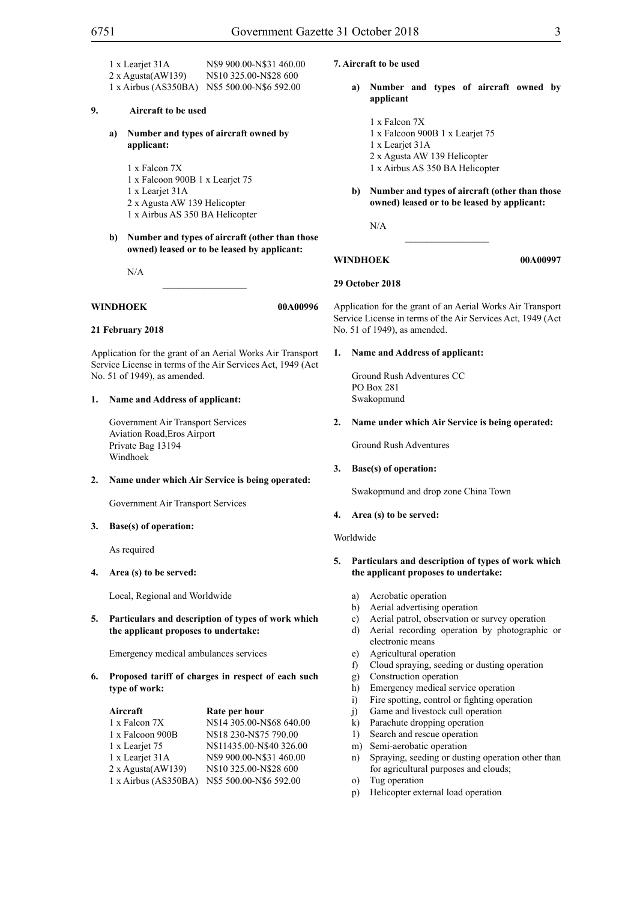1 x Learjet 31A N\$9 900.00-N\$31 460.00 2 x Agusta(AW139) N\$10 325.00-N\$28 600 1 x Airbus (AS350BA) N\$5 500.00-N\$6 592.00

#### **9. Aircraft to be used**

**a) Number and types of aircraft owned by applicant:**

1 x Falcon 7X

- 1 x Falcoon 900B 1 x Learjet 75
- 1 x Learjet 31A
- 2 x Agusta AW 139 Helicopter
- 1 x Airbus AS 350 BA Helicopter
- **b) Number and types of aircraft (other than those owned) leased or to be leased by applicant:**

N/A

**WINDHOEK 00A00996** 

#### **21 February 2018**

Application for the grant of an Aerial Works Air Transport Service License in terms of the Air Services Act, 1949 (Act No. 51 of 1949), as amended.

 $\overline{\phantom{a}}$  , where  $\overline{\phantom{a}}$ 

#### **1. Name and Address of applicant:**

Government Air Transport Services Aviation Road,Eros Airport Private Bag 13194 Windhoek

#### **2. Name under which Air Service is being operated:**

Government Air Transport Services

**3. Base(s) of operation:** 

As required

**4. Area (s) to be served:**

Local, Regional and Worldwide

**5. Particulars and description of types of work which the applicant proposes to undertake:**

Emergency medical ambulances services

**6. Proposed tariff of charges in respect of each such type of work:**

| Aircraft             | Rate per hour             |  |  |
|----------------------|---------------------------|--|--|
| 1 x Falcon 7X        | N\$14 305.00-N\$68 640.00 |  |  |
| 1 x Falcoon 900B     | N\$18 230-N\$75 790.00    |  |  |
| 1 x Leariet 75       | N\$11435.00-N\$40 326.00  |  |  |
| 1 x Leariet 31A      | N\$9 900.00-N\$31 460.00  |  |  |
| 2 x Agusta(AW139)    | N\$10 325.00-N\$28 600    |  |  |
| 1 x Airbus (AS350BA) | N\$5 500.00-N\$6 592.00   |  |  |

#### **7. Aircraft to be used**

**a) Number and types of aircraft owned by applicant**

- 1 x Falcon 7X 1 x Falcoon 900B 1 x Learjet 75 1 x Learjet 31A 2 x Agusta AW 139 Helicopter 1 x Airbus AS 350 BA Helicopter
- **b) Number and types of aircraft (other than those owned) leased or to be leased by applicant:**

N/A

**WINDHOEK 00A00997** 

#### **29 October 2018**

Application for the grant of an Aerial Works Air Transport Service License in terms of the Air Services Act, 1949 (Act No. 51 of 1949), as amended.

 $\overline{\phantom{a}}$  , we can also the contract of  $\overline{\phantom{a}}$ 

#### **1. Name and Address of applicant:**

Ground Rush Adventures CC PO Box 281 Swakopmund

**2. Name under which Air Service is being operated:**

Ground Rush Adventures

**3. Base(s) of operation:** 

Swakopmund and drop zone China Town

#### **4. Area (s) to be served:**

Worldwide

- **5. Particulars and description of types of work which the applicant proposes to undertake:**
	- a) Acrobatic operation
	- b) Aerial advertising operation
	- c) Aerial patrol, observation or survey operation
	- d) Aerial recording operation by photographic or electronic means
	- e) Agricultural operation
	- f) Cloud spraying, seeding or dusting operation
	- g) Construction operation
	- h) Emergency medical service operation
	- i) Fire spotting, control or fighting operation
	- j) Game and livestock cull operation
	- k) Parachute dropping operation
	- 1) Search and rescue operation
	- m) Semi-aerobatic operation
	- n) Spraying, seeding or dusting operation other than for agricultural purposes and clouds;
	- o) Tug operation
	- p) Helicopter external load operation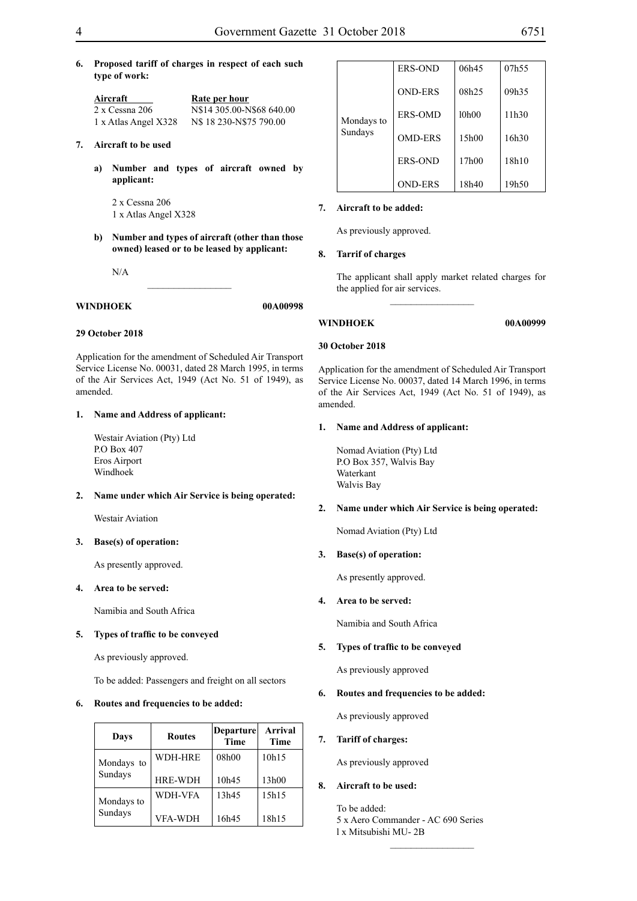**6. Proposed tariff of charges in respect of each such type of work:**

| Aircraft             | Rate per hour             |  |  |
|----------------------|---------------------------|--|--|
| 2 x Cessna 206       | N\$14 305.00-N\$68 640.00 |  |  |
| 1 x Atlas Angel X328 | N\$18 230-N\$75 790.00    |  |  |

#### **7. Aircraft to be used**

**a) Number and types of aircraft owned by applicant:**

2 x Cessna 206 1 x Atlas Angel X328

**b) Number and types of aircraft (other than those owned) leased or to be leased by applicant:**

 $\overline{\phantom{a}}$  , where  $\overline{\phantom{a}}$ 

N/A

#### **WINDHOEK 00A00998**

#### **29 October 2018**

Application for the amendment of Scheduled Air Transport Service License No. 00031, dated 28 March 1995, in terms of the Air Services Act, 1949 (Act No. 51 of 1949), as amended.

#### **1. Name and Address of applicant:**

Westair Aviation (Pty) Ltd P.O Box 407 Eros Airport Windhoek

#### **2. Name under which Air Service is being operated:**

Westair Aviation

#### **3. Base(s) of operation:**

As presently approved.

#### **4. Area to be served:**

Namibia and South Africa

#### **5. Types of traffic to be conveyed**

As previously approved.

To be added: Passengers and freight on all sectors

#### **6. Routes and frequencies to be added:**

| Days       | <b>Routes</b>  | <b>Departure</b><br><b>Time</b> | <b>Arrival</b><br><b>Time</b> |
|------------|----------------|---------------------------------|-------------------------------|
| Mondays to | WDH-HRE        | 08h00                           | 10h15                         |
| Sundays    | <b>HRE-WDH</b> | 10h45                           | 13h00                         |
| Mondays to | <b>WDH-VFA</b> | 13h45                           | 15h15                         |
| Sundays    | <b>VFA-WDH</b> | 16h45                           | 18h15                         |

|            | <b>ERS-OND</b> | 06h45 | 07h55 |
|------------|----------------|-------|-------|
|            | <b>OND-ERS</b> | 08h25 | 09h35 |
| Mondays to | <b>ERS-OMD</b> | 10h00 | 11h30 |
| Sundays    | <b>OMD-ERS</b> | 15h00 | 16h30 |
|            | <b>ERS-OND</b> | 17h00 | 18h10 |
|            | <b>OND-ERS</b> | 18h40 | 19h50 |

#### **7. Aircraft to be added:**

As previously approved.

#### **8. Tarrif of charges**

The applicant shall apply market related charges for the applied for air services.

 $\overline{\phantom{a}}$  , we can also the contract of  $\overline{\phantom{a}}$ 

#### **30 October 2018**

Application for the amendment of Scheduled Air Transport Service License No. 00037, dated 14 March 1996, in terms of the Air Services Act, 1949 (Act No. 51 of 1949), as amended.

#### **1. Name and Address of applicant:**

Nomad Aviation (Pty) Ltd P.O Box 357, Walvis Bay Waterkant Walvis Bay

#### **2. Name under which Air Service is being operated:**

Nomad Aviation (Pty) Ltd

#### **3. Base(s) of operation:**

As presently approved.

### **4. Area to be served:**

Namibia and South Africa

### **5. Types of traffic to be conveyed**

As previously approved

#### **6. Routes and frequencies to be added:**

As previously approved

#### **7. Tariff of charges:**

As previously approved

#### **8. Aircraft to be used:**

To be added: 5 x Aero Commander - AC 690 Series l x Mitsubishi MU- 2B

 $\overline{\phantom{a}}$  , we can also the contract of  $\overline{\phantom{a}}$ 

# **WINDHOEK 00A00999**